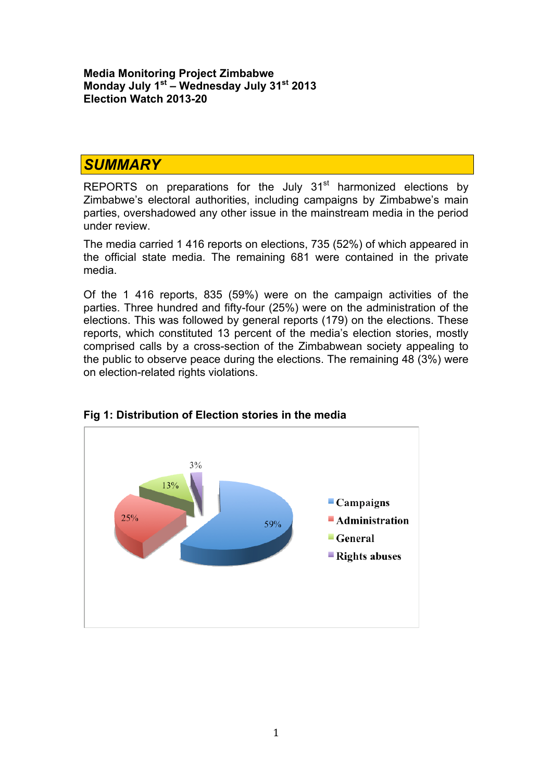**Media Monitoring Project Zimbabwe Monday July 1st – Wednesday July 31st 2013 Election Watch 2013-20**

#### *SUMMARY*

REPORTS on preparations for the July  $31<sup>st</sup>$  harmonized elections by Zimbabwe's electoral authorities, including campaigns by Zimbabwe's main parties, overshadowed any other issue in the mainstream media in the period under review.

The media carried 1 416 reports on elections, 735 (52%) of which appeared in the official state media. The remaining 681 were contained in the private media.

Of the 1 416 reports, 835 (59%) were on the campaign activities of the parties. Three hundred and fifty-four (25%) were on the administration of the elections. This was followed by general reports (179) on the elections. These reports, which constituted 13 percent of the media's election stories, mostly comprised calls by a cross-section of the Zimbabwean society appealing to the public to observe peace during the elections. The remaining 48 (3%) were on election-related rights violations.



#### **Fig 1: Distribution of Election stories in the media**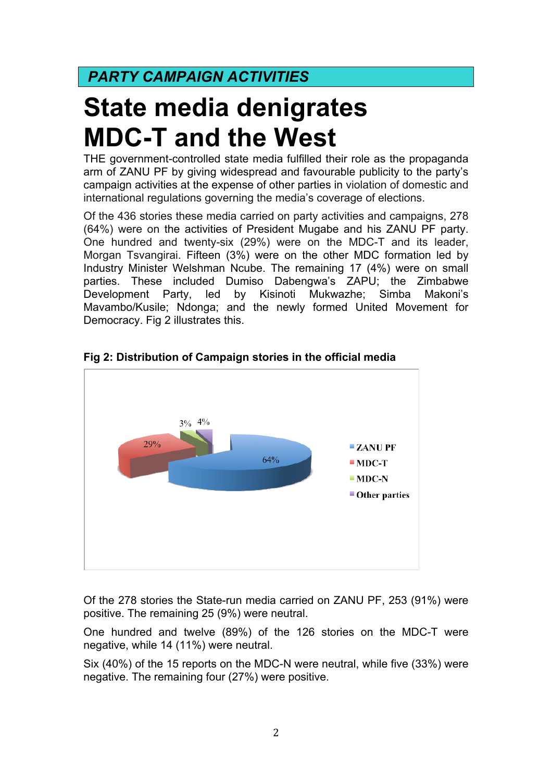## *PARTY CAMPAIGN ACTIVITIES*

# **State media denigrates MDC-T and the West**

THE government-controlled state media fulfilled their role as the propaganda arm of ZANU PF by giving widespread and favourable publicity to the party's campaign activities at the expense of other parties in violation of domestic and international regulations governing the media's coverage of elections.

Of the 436 stories these media carried on party activities and campaigns, 278 (64%) were on the activities of President Mugabe and his ZANU PF party. One hundred and twenty-six (29%) were on the MDC-T and its leader, Morgan Tsvangirai. Fifteen (3%) were on the other MDC formation led by Industry Minister Welshman Ncube. The remaining 17 (4%) were on small parties. These included Dumiso Dabengwa's ZAPU; the Zimbabwe Development Party, led by Kisinoti Mukwazhe; Simba Makoni's Mavambo/Kusile; Ndonga; and the newly formed United Movement for Democracy. Fig 2 illustrates this.



#### **Fig 2: Distribution of Campaign stories in the official media**

Of the 278 stories the State-run media carried on ZANU PF, 253 (91%) were positive. The remaining 25 (9%) were neutral.

One hundred and twelve (89%) of the 126 stories on the MDC-T were negative, while 14 (11%) were neutral.

Six (40%) of the 15 reports on the MDC-N were neutral, while five (33%) were negative. The remaining four (27%) were positive.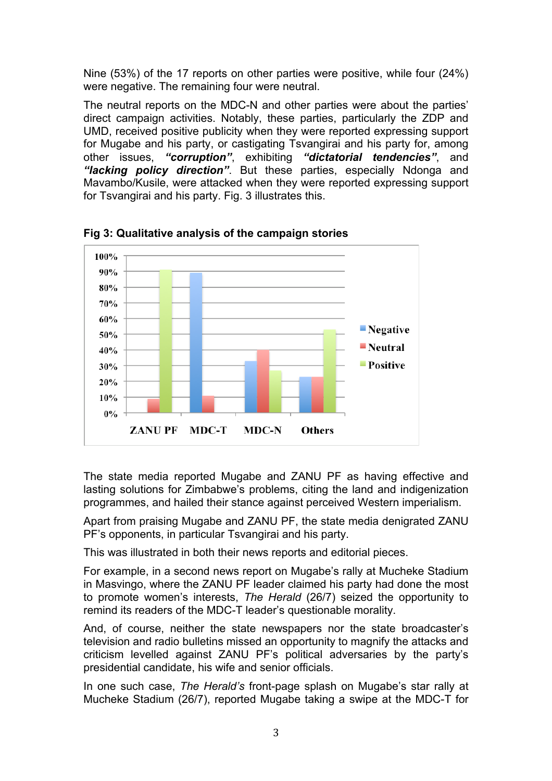Nine (53%) of the 17 reports on other parties were positive, while four (24%) were negative. The remaining four were neutral.

The neutral reports on the MDC-N and other parties were about the parties' direct campaign activities. Notably, these parties, particularly the ZDP and UMD, received positive publicity when they were reported expressing support for Mugabe and his party, or castigating Tsvangirai and his party for, among other issues, *"corruption"*, exhibiting *"dictatorial tendencies"*, and *"lacking policy direction"*. But these parties, especially Ndonga and Mavambo/Kusile, were attacked when they were reported expressing support for Tsvangirai and his party. Fig. 3 illustrates this.



**Fig 3: Qualitative analysis of the campaign stories**

The state media reported Mugabe and ZANU PF as having effective and lasting solutions for Zimbabwe's problems, citing the land and indigenization programmes, and hailed their stance against perceived Western imperialism.

Apart from praising Mugabe and ZANU PF, the state media denigrated ZANU PF's opponents, in particular Tsvangirai and his party.

This was illustrated in both their news reports and editorial pieces.

For example, in a second news report on Mugabe's rally at Mucheke Stadium in Masvingo, where the ZANU PF leader claimed his party had done the most to promote women's interests, *The Herald* (26/7) seized the opportunity to remind its readers of the MDC-T leader's questionable morality.

And, of course, neither the state newspapers nor the state broadcaster's television and radio bulletins missed an opportunity to magnify the attacks and criticism levelled against ZANU PF's political adversaries by the party's presidential candidate, his wife and senior officials.

In one such case, *The Herald's* front-page splash on Mugabe's star rally at Mucheke Stadium (26/7), reported Mugabe taking a swipe at the MDC-T for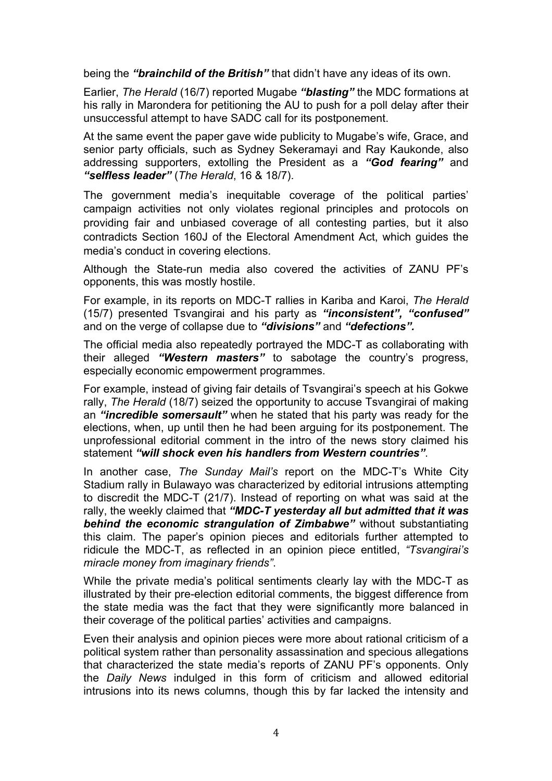being the *"brainchild of the British"* that didn't have any ideas of its own.

Earlier, *The Herald* (16/7) reported Mugabe *"blasting"* the MDC formations at his rally in Marondera for petitioning the AU to push for a poll delay after their unsuccessful attempt to have SADC call for its postponement.

At the same event the paper gave wide publicity to Mugabe's wife, Grace, and senior party officials, such as Sydney Sekeramayi and Ray Kaukonde, also addressing supporters, extolling the President as a *"God fearing"* and *"selfless leader"* (*The Herald*, 16 & 18/7).

The government media's inequitable coverage of the political parties' campaign activities not only violates regional principles and protocols on providing fair and unbiased coverage of all contesting parties, but it also contradicts Section 160J of the Electoral Amendment Act, which guides the media's conduct in covering elections.

Although the State-run media also covered the activities of ZANU PF's opponents, this was mostly hostile.

For example, in its reports on MDC-T rallies in Kariba and Karoi, *The Herald* (15/7) presented Tsvangirai and his party as *"inconsistent", "confused"* and on the verge of collapse due to *"divisions"* and *"defections".*

The official media also repeatedly portrayed the MDC-T as collaborating with their alleged *"Western masters"* to sabotage the country's progress, especially economic empowerment programmes.

For example, instead of giving fair details of Tsvangirai's speech at his Gokwe rally, *The Herald* (18/7) seized the opportunity to accuse Tsvangirai of making an *"incredible somersault"* when he stated that his party was ready for the elections, when, up until then he had been arguing for its postponement. The unprofessional editorial comment in the intro of the news story claimed his statement *"will shock even his handlers from Western countries"*.

In another case, *The Sunday Mail's* report on the MDC-T's White City Stadium rally in Bulawayo was characterized by editorial intrusions attempting to discredit the MDC-T (21/7). Instead of reporting on what was said at the rally, the weekly claimed that *"MDC-T yesterday all but admitted that it was behind the economic strangulation of Zimbabwe"* without substantiating this claim. The paper's opinion pieces and editorials further attempted to ridicule the MDC-T, as reflected in an opinion piece entitled, *"Tsvangirai's miracle money from imaginary friends"*.

While the private media's political sentiments clearly lay with the MDC-T as illustrated by their pre-election editorial comments, the biggest difference from the state media was the fact that they were significantly more balanced in their coverage of the political parties' activities and campaigns.

Even their analysis and opinion pieces were more about rational criticism of a political system rather than personality assassination and specious allegations that characterized the state media's reports of ZANU PF's opponents. Only the *Daily News* indulged in this form of criticism and allowed editorial intrusions into its news columns, though this by far lacked the intensity and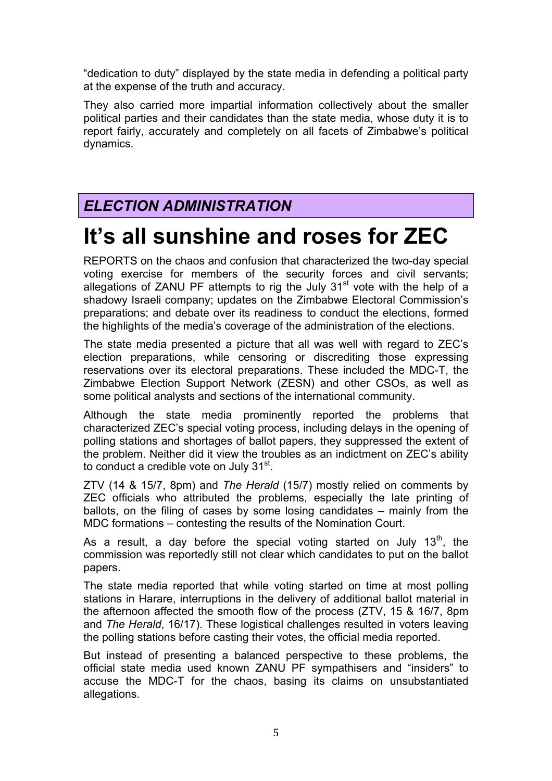"dedication to duty" displayed by the state media in defending a political party at the expense of the truth and accuracy.

They also carried more impartial information collectively about the smaller political parties and their candidates than the state media, whose duty it is to report fairly, accurately and completely on all facets of Zimbabwe's political dynamics.

### *ELECTION ADMINISTRATION*

## **It's all sunshine and roses for ZEC**

REPORTS on the chaos and confusion that characterized the two-day special voting exercise for members of the security forces and civil servants; allegations of ZANU PF attempts to rig the July  $31<sup>st</sup>$  vote with the help of a shadowy Israeli company; updates on the Zimbabwe Electoral Commission's preparations; and debate over its readiness to conduct the elections, formed the highlights of the media's coverage of the administration of the elections.

The state media presented a picture that all was well with regard to ZEC's election preparations, while censoring or discrediting those expressing reservations over its electoral preparations. These included the MDC-T, the Zimbabwe Election Support Network (ZESN) and other CSOs, as well as some political analysts and sections of the international community.

Although the state media prominently reported the problems that characterized ZEC's special voting process, including delays in the opening of polling stations and shortages of ballot papers, they suppressed the extent of the problem. Neither did it view the troubles as an indictment on ZEC's ability to conduct a credible vote on July 31<sup>st</sup>.

ZTV (14 & 15/7, 8pm) and *The Herald* (15/7) mostly relied on comments by ZEC officials who attributed the problems, especially the late printing of ballots, on the filing of cases by some losing candidates – mainly from the MDC formations – contesting the results of the Nomination Court.

As a result, a day before the special voting started on July  $13<sup>th</sup>$ , the commission was reportedly still not clear which candidates to put on the ballot papers.

The state media reported that while voting started on time at most polling stations in Harare, interruptions in the delivery of additional ballot material in the afternoon affected the smooth flow of the process (ZTV, 15 & 16/7, 8pm and *The Herald*, 16/17). These logistical challenges resulted in voters leaving the polling stations before casting their votes, the official media reported.

But instead of presenting a balanced perspective to these problems, the official state media used known ZANU PF sympathisers and "insiders" to accuse the MDC-T for the chaos, basing its claims on unsubstantiated allegations.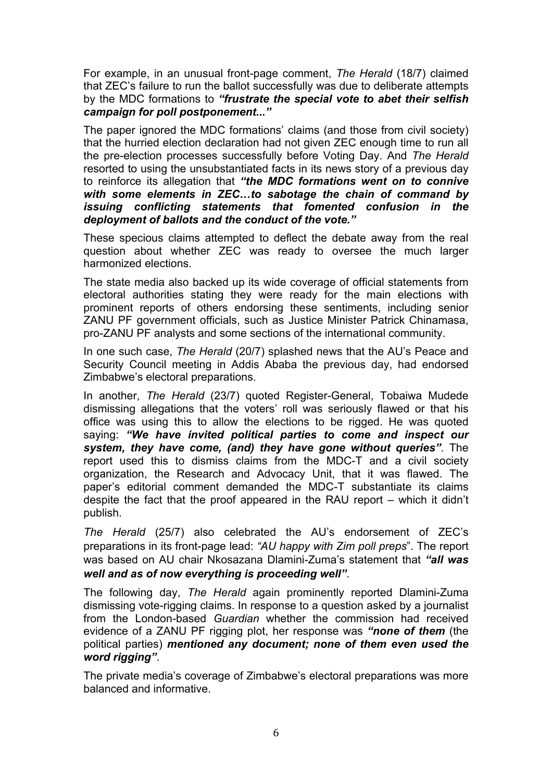For example, in an unusual front-page comment, *The Herald* (18/7) claimed that ZEC's failure to run the ballot successfully was due to deliberate attempts by the MDC formations to *"frustrate the special vote to abet their selfish campaign for poll postponement..."*

The paper ignored the MDC formations' claims (and those from civil society) that the hurried election declaration had not given ZEC enough time to run all the pre-election processes successfully before Voting Day. And *The Herald* resorted to using the unsubstantiated facts in its news story of a previous day to reinforce its allegation that *"the MDC formations went on to connive with some elements in ZEC…to sabotage the chain of command by issuing conflicting statements that fomented confusion in the deployment of ballots and the conduct of the vote."*

These specious claims attempted to deflect the debate away from the real question about whether ZEC was ready to oversee the much larger harmonized elections.

The state media also backed up its wide coverage of official statements from electoral authorities stating they were ready for the main elections with prominent reports of others endorsing these sentiments, including senior ZANU PF government officials, such as Justice Minister Patrick Chinamasa, pro-ZANU PF analysts and some sections of the international community.

In one such case, *The Herald* (20/7) splashed news that the AU's Peace and Security Council meeting in Addis Ababa the previous day, had endorsed Zimbabwe's electoral preparations.

In another, *The Herald* (23/7) quoted Register-General, Tobaiwa Mudede dismissing allegations that the voters' roll was seriously flawed or that his office was using this to allow the elections to be rigged. He was quoted saying: *"We have invited political parties to come and inspect our system, they have come, (and) they have gone without queries"*. The report used this to dismiss claims from the MDC-T and a civil society organization, the Research and Advocacy Unit, that it was flawed. The paper's editorial comment demanded the MDC-T substantiate its claims despite the fact that the proof appeared in the RAU report – which it didn't publish.

*The Herald* (25/7) also celebrated the AU's endorsement of ZEC's preparations in its front-page lead: *"AU happy with Zim poll preps*". The report was based on AU chair Nkosazana Dlamini-Zuma's statement that *"all was well and as of now everything is proceeding well"*.

The following day, *The Herald* again prominently reported Dlamini-Zuma dismissing vote-rigging claims. In response to a question asked by a journalist from the London-based *Guardian* whether the commission had received evidence of a ZANU PF rigging plot, her response was *"none of them* (the political parties) *mentioned any document; none of them even used the word rigging"*.

The private media's coverage of Zimbabwe's electoral preparations was more balanced and informative.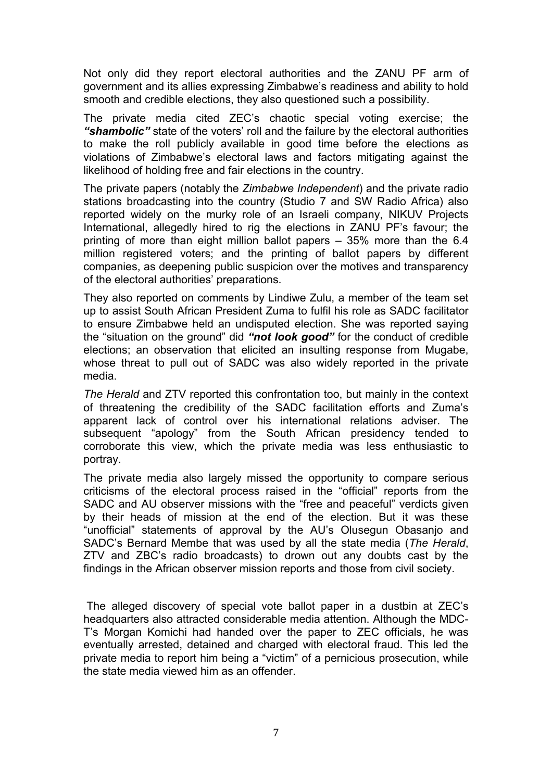Not only did they report electoral authorities and the ZANU PF arm of government and its allies expressing Zimbabwe's readiness and ability to hold smooth and credible elections, they also questioned such a possibility.

The private media cited ZEC's chaotic special voting exercise; the *"shambolic"* state of the voters' roll and the failure by the electoral authorities to make the roll publicly available in good time before the elections as violations of Zimbabwe's electoral laws and factors mitigating against the likelihood of holding free and fair elections in the country.

The private papers (notably the *Zimbabwe Independent*) and the private radio stations broadcasting into the country (Studio 7 and SW Radio Africa) also reported widely on the murky role of an Israeli company, NIKUV Projects International, allegedly hired to rig the elections in ZANU PF's favour; the printing of more than eight million ballot papers – 35% more than the 6.4 million registered voters; and the printing of ballot papers by different companies, as deepening public suspicion over the motives and transparency of the electoral authorities' preparations.

They also reported on comments by Lindiwe Zulu, a member of the team set up to assist South African President Zuma to fulfil his role as SADC facilitator to ensure Zimbabwe held an undisputed election. She was reported saying the "situation on the ground" did *"not look good"* for the conduct of credible elections; an observation that elicited an insulting response from Mugabe, whose threat to pull out of SADC was also widely reported in the private media.

*The Herald* and ZTV reported this confrontation too, but mainly in the context of threatening the credibility of the SADC facilitation efforts and Zuma's apparent lack of control over his international relations adviser. The subsequent "apology" from the South African presidency tended to corroborate this view, which the private media was less enthusiastic to portray.

The private media also largely missed the opportunity to compare serious criticisms of the electoral process raised in the "official" reports from the SADC and AU observer missions with the "free and peaceful" verdicts given by their heads of mission at the end of the election. But it was these "unofficial" statements of approval by the AU's Olusegun Obasanjo and SADC's Bernard Membe that was used by all the state media (*The Herald*, ZTV and ZBC's radio broadcasts) to drown out any doubts cast by the findings in the African observer mission reports and those from civil society.

The alleged discovery of special vote ballot paper in a dustbin at ZEC's headquarters also attracted considerable media attention. Although the MDC-T's Morgan Komichi had handed over the paper to ZEC officials, he was eventually arrested, detained and charged with electoral fraud. This led the private media to report him being a "victim" of a pernicious prosecution, while the state media viewed him as an offender.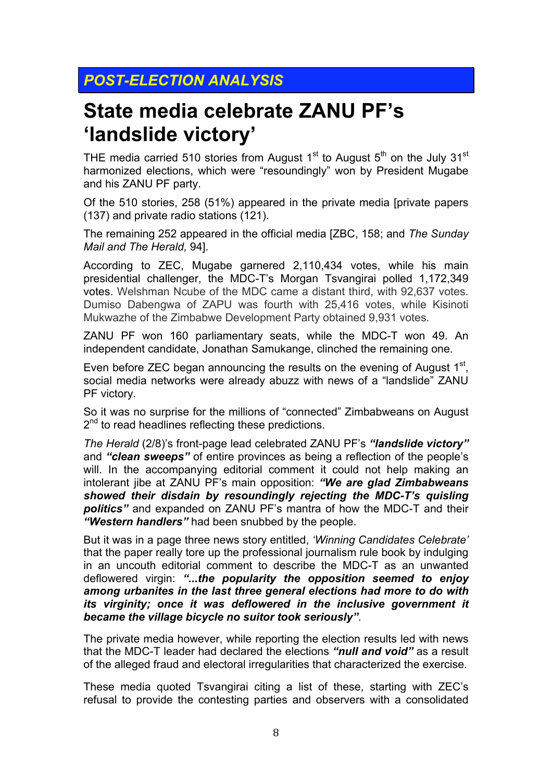### *POST-ELECTION ANALYSIS*

## **State media celebrate ZANU PF's 'landslide victory'**

THE media carried 510 stories from August  $1<sup>st</sup>$  to August  $5<sup>th</sup>$  on the July 31<sup>st</sup> harmonized elections, which were "resoundingly" won by President Mugabe and his ZANU PF party.

Of the 510 stories, 258 (51%) appeared in the private media [private papers (137) and private radio stations (121).

The remaining 252 appeared in the official media [ZBC, 158; and *The Sunday Mail and The Herald,* 94].

According to ZEC, Mugabe garnered 2,110,434 votes, while his main presidential challenger, the MDC-T's Morgan Tsvangirai polled 1,172,349 votes. Welshman Ncube of the MDC came a distant third, with 92,637 votes. Dumiso Dabengwa of ZAPU was fourth with 25,416 votes, while Kisinoti Mukwazhe of the Zimbabwe Development Party obtained 9,931 votes.

ZANU PF won 160 parliamentary seats, while the MDC-T won 49. An independent candidate, Jonathan Samukange, clinched the remaining one.

Even before ZEC began announcing the results on the evening of August  $1<sup>st</sup>$ , social media networks were already abuzz with news of a "landslide" ZANU PF victory.

So it was no surprise for the millions of "connected" Zimbabweans on August 2<sup>nd</sup> to read headlines reflecting these predictions.

*The Herald* (2/8)'s front-page lead celebrated ZANU PF's *"landslide victory"*  and *"clean sweeps"* of entire provinces as being a reflection of the people's will. In the accompanying editorial comment it could not help making an intolerant jibe at ZANU PF's main opposition: *"We are glad Zimbabweans showed their disdain by resoundingly rejecting the MDC-T's quisling politics"* and expanded on ZANU PF's mantra of how the MDC-T and their *"Western handlers"* had been snubbed by the people.

But it was in a page three news story entitled, *'Winning Candidates Celebrate'*  that the paper really tore up the professional journalism rule book by indulging in an uncouth editorial comment to describe the MDC-T as an unwanted deflowered virgin: *"...the popularity the opposition seemed to enjoy among urbanites in the last three general elections had more to do with its virginity; once it was deflowered in the inclusive government it became the village bicycle no suitor took seriously"*.

The private media however, while reporting the election results led with news that the MDC-T leader had declared the elections *"null and void"* as a result of the alleged fraud and electoral irregularities that characterized the exercise.

These media quoted Tsvangirai citing a list of these, starting with ZEC's refusal to provide the contesting parties and observers with a consolidated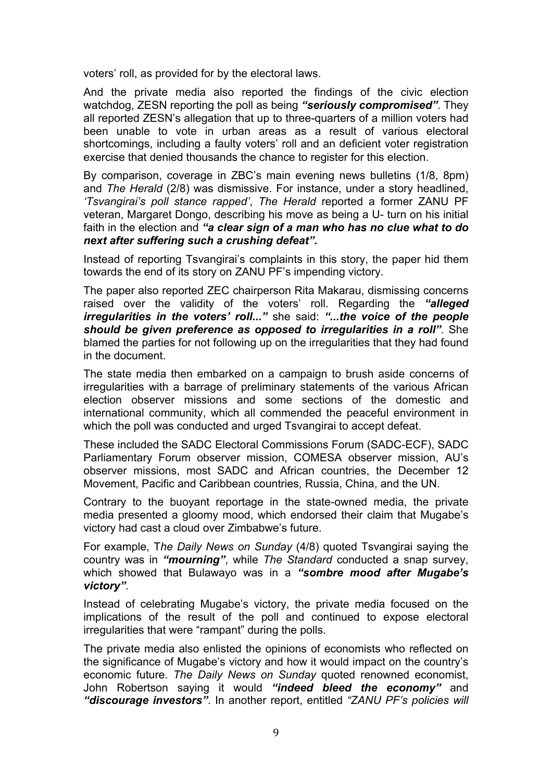voters' roll, as provided for by the electoral laws.

And the private media also reported the findings of the civic election watchdog, ZESN reporting the poll as being *"seriously compromised"*. They all reported ZESN's allegation that up to three-quarters of a million voters had been unable to vote in urban areas as a result of various electoral shortcomings, including a faulty voters' roll and an deficient voter registration exercise that denied thousands the chance to register for this election.

By comparison, coverage in ZBC's main evening news bulletins (1/8, 8pm) and *The Herald* (2/8) was dismissive. For instance, under a story headlined, *'Tsvangirai's poll stance rapped'*, *The Herald* reported a former ZANU PF veteran, Margaret Dongo, describing his move as being a U- turn on his initial faith in the election and *"a clear sign of a man who has no clue what to do next after suffering such a crushing defeat".*

Instead of reporting Tsvangirai's complaints in this story, the paper hid them towards the end of its story on ZANU PF's impending victory.

The paper also reported ZEC chairperson Rita Makarau, dismissing concerns raised over the validity of the voters' roll. Regarding the *"alleged irregularities in the voters' roll..."* she said: *"...the voice of the people should be given preference as opposed to irregularities in a roll"*. She blamed the parties for not following up on the irregularities that they had found in the document.

The state media then embarked on a campaign to brush aside concerns of irregularities with a barrage of preliminary statements of the various African election observer missions and some sections of the domestic and international community, which all commended the peaceful environment in which the poll was conducted and urged Tsvangirai to accept defeat.

These included the SADC Electoral Commissions Forum (SADC-ECF), SADC Parliamentary Forum observer mission, COMESA observer mission, AU's observer missions, most SADC and African countries, the December 12 Movement, Pacific and Caribbean countries, Russia, China, and the UN.

Contrary to the buoyant reportage in the state-owned media, the private media presented a gloomy mood, which endorsed their claim that Mugabe's victory had cast a cloud over Zimbabwe's future.

For example, T*he Daily News on Sunday* (4/8) quoted Tsvangirai saying the country was in *"mourning"*, while *The Standard* conducted a snap survey, which showed that Bulawayo was in a *"sombre mood after Mugabe's victory"*.

Instead of celebrating Mugabe's victory, the private media focused on the implications of the result of the poll and continued to expose electoral irregularities that were "rampant" during the polls.

The private media also enlisted the opinions of economists who reflected on the significance of Mugabe's victory and how it would impact on the country's economic future. *The Daily News on Sunday* quoted renowned economist, John Robertson saying it would *"indeed bleed the economy"* and *"discourage investors"*. In another report, entitled *"ZANU PF's policies will*